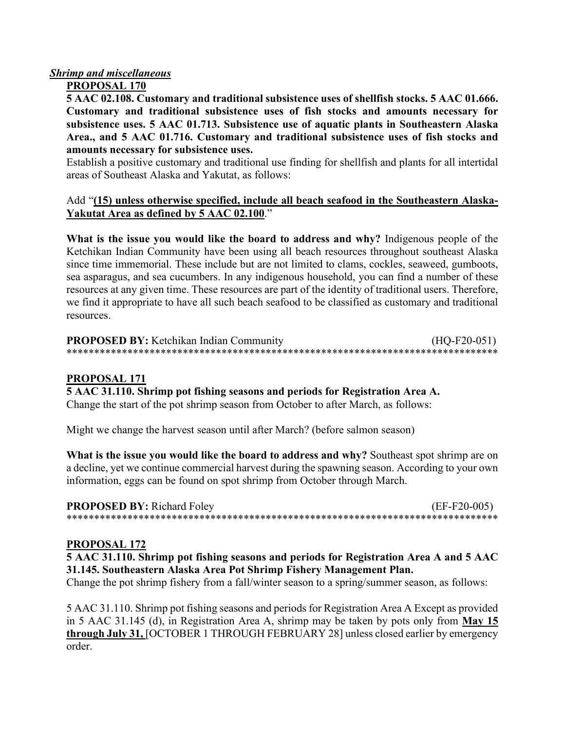## *Shrimp and miscellaneous*

## **PROPOSAL 170**

**5 AAC 02.108. Customary and traditional subsistence uses of shellfish stocks. 5 AAC 01.666. Customary and traditional subsistence uses of fish stocks and amounts necessary for subsistence uses. 5 AAC 01.713. Subsistence use of aquatic plants in Southeastern Alaska Area., and 5 AAC 01.716. Customary and traditional subsistence uses of fish stocks and amounts necessary for subsistence uses.**

Establish a positive customary and traditional use finding for shellfish and plants for all intertidal areas of Southeast Alaska and Yakutat, as follows:

## Add "**(15) unless otherwise specified, include all beach seafood in the Southeastern Alaska-Yakutat Area as defined by 5 AAC 02.100**."

**What is the issue you would like the board to address and why?** Indigenous people of the Ketchikan Indian Community have been using all beach resources throughout southeast Alaska since time immemorial. These include but are not limited to clams, cockles, seaweed, gumboots, sea asparagus, and sea cucumbers. In any indigenous household, you can find a number of these resources at any given time. These resources are part of the identity of traditional users. Therefore, we find it appropriate to have all such beach seafood to be classified as customary and traditional resources.

| <b>PROPOSED BY: Ketchikan Indian Community</b> | $(HQ-F20-051)$ |
|------------------------------------------------|----------------|
|                                                |                |

#### **PROPOSAL 171**

#### **5 AAC 31.110. Shrimp pot fishing seasons and periods for Registration Area A.**

Change the start of the pot shrimp season from October to after March, as follows:

Might we change the harvest season until after March? (before salmon season)

**What is the issue you would like the board to address and why?** Southeast spot shrimp are on a decline, yet we continue commercial harvest during the spawning season. According to your own information, eggs can be found on spot shrimp from October through March.

| <b>PROPOSED BY: Richard Foley</b> | $(EF-F20-005)$ |
|-----------------------------------|----------------|
|                                   |                |

#### **PROPOSAL 172**

**5 AAC 31.110. Shrimp pot fishing seasons and periods for Registration Area A and 5 AAC 31.145. Southeastern Alaska Area Pot Shrimp Fishery Management Plan.**

Change the pot shrimp fishery from a fall/winter season to a spring/summer season, as follows:

5 AAC 31.110. Shrimp pot fishing seasons and periods for Registration Area A Except as provided in 5 AAC 31.145 (d), in Registration Area A, shrimp may be taken by pots only from **May 15 through July 31,** [OCTOBER 1 THROUGH FEBRUARY 28] unless closed earlier by emergency order.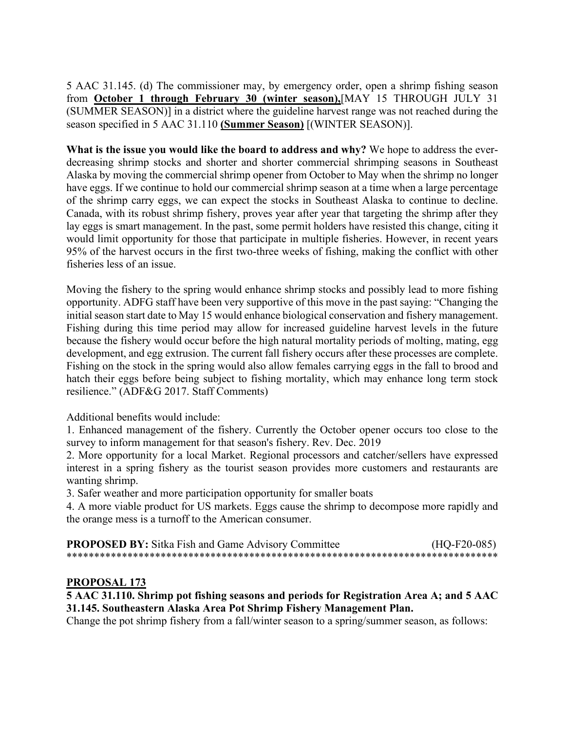5 AAC 31.145. (d) The commissioner may, by emergency order, open a shrimp fishing season from **October 1 through February 30 (winter season),**[MAY 15 THROUGH JULY 31 (SUMMER SEASON)] in a district where the guideline harvest range was not reached during the season specified in 5 AAC 31.110 **(Summer Season)** [(WINTER SEASON)].

**What is the issue you would like the board to address and why?** We hope to address the everdecreasing shrimp stocks and shorter and shorter commercial shrimping seasons in Southeast Alaska by moving the commercial shrimp opener from October to May when the shrimp no longer have eggs. If we continue to hold our commercial shrimp season at a time when a large percentage of the shrimp carry eggs, we can expect the stocks in Southeast Alaska to continue to decline. Canada, with its robust shrimp fishery, proves year after year that targeting the shrimp after they lay eggs is smart management. In the past, some permit holders have resisted this change, citing it would limit opportunity for those that participate in multiple fisheries. However, in recent years 95% of the harvest occurs in the first two-three weeks of fishing, making the conflict with other fisheries less of an issue.

Moving the fishery to the spring would enhance shrimp stocks and possibly lead to more fishing opportunity. ADFG staff have been very supportive of this move in the past saying: "Changing the initial season start date to May 15 would enhance biological conservation and fishery management. Fishing during this time period may allow for increased guideline harvest levels in the future because the fishery would occur before the high natural mortality periods of molting, mating, egg development, and egg extrusion. The current fall fishery occurs after these processes are complete. Fishing on the stock in the spring would also allow females carrying eggs in the fall to brood and hatch their eggs before being subject to fishing mortality, which may enhance long term stock resilience." (ADF&G 2017. Staff Comments)

Additional benefits would include:

1. Enhanced management of the fishery. Currently the October opener occurs too close to the survey to inform management for that season's fishery. Rev. Dec. 2019

2. More opportunity for a local Market. Regional processors and catcher/sellers have expressed interest in a spring fishery as the tourist season provides more customers and restaurants are wanting shrimp.

3. Safer weather and more participation opportunity for smaller boats

4. A more viable product for US markets. Eggs cause the shrimp to decompose more rapidly and the orange mess is a turnoff to the American consumer.

| <b>PROPOSED BY:</b> Sitka Fish and Game Advisory Committee | $(HQ-F20-085)$ |
|------------------------------------------------------------|----------------|
|                                                            |                |

## **PROPOSAL 173**

**5 AAC 31.110. Shrimp pot fishing seasons and periods for Registration Area A; and 5 AAC 31.145. Southeastern Alaska Area Pot Shrimp Fishery Management Plan.**

Change the pot shrimp fishery from a fall/winter season to a spring/summer season, as follows: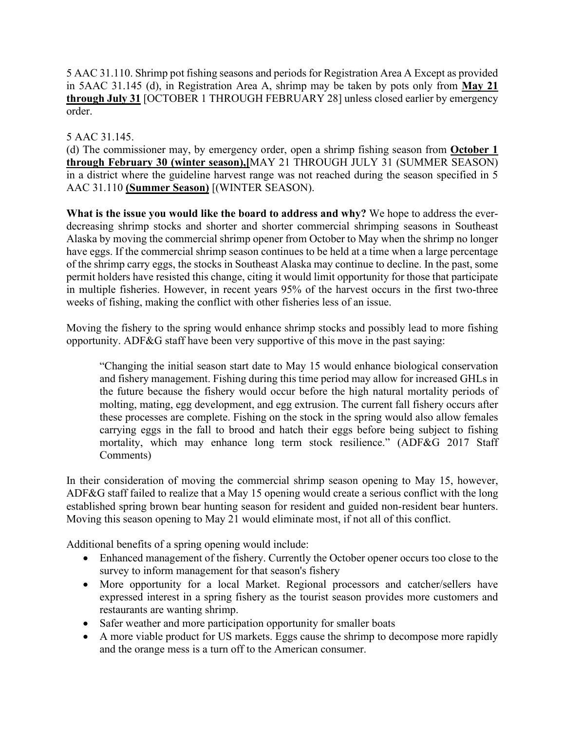5 AAC 31.110. Shrimp pot fishing seasons and periods for Registration Area A Except as provided in 5AAC 31.145 (d), in Registration Area A, shrimp may be taken by pots only from **May 21 through July 31** [OCTOBER 1 THROUGH FEBRUARY 28] unless closed earlier by emergency order.

## 5 AAC 31.145.

(d) The commissioner may, by emergency order, open a shrimp fishing season from **October 1 through February 30 (winter season),[**MAY 21 THROUGH JULY 31 (SUMMER SEASON) in a district where the guideline harvest range was not reached during the season specified in 5 AAC 31.110 **(Summer Season)** [(WINTER SEASON).

**What is the issue you would like the board to address and why?** We hope to address the everdecreasing shrimp stocks and shorter and shorter commercial shrimping seasons in Southeast Alaska by moving the commercial shrimp opener from October to May when the shrimp no longer have eggs. If the commercial shrimp season continues to be held at a time when a large percentage of the shrimp carry eggs, the stocks in Southeast Alaska may continue to decline. In the past, some permit holders have resisted this change, citing it would limit opportunity for those that participate in multiple fisheries. However, in recent years 95% of the harvest occurs in the first two-three weeks of fishing, making the conflict with other fisheries less of an issue.

Moving the fishery to the spring would enhance shrimp stocks and possibly lead to more fishing opportunity. ADF&G staff have been very supportive of this move in the past saying:

"Changing the initial season start date to May 15 would enhance biological conservation and fishery management. Fishing during this time period may allow for increased GHLs in the future because the fishery would occur before the high natural mortality periods of molting, mating, egg development, and egg extrusion. The current fall fishery occurs after these processes are complete. Fishing on the stock in the spring would also allow females carrying eggs in the fall to brood and hatch their eggs before being subject to fishing mortality, which may enhance long term stock resilience." (ADF&G 2017 Staff Comments)

In their consideration of moving the commercial shrimp season opening to May 15, however, ADF&G staff failed to realize that a May 15 opening would create a serious conflict with the long established spring brown bear hunting season for resident and guided non-resident bear hunters. Moving this season opening to May 21 would eliminate most, if not all of this conflict.

Additional benefits of a spring opening would include:

- Enhanced management of the fishery. Currently the October opener occurs too close to the survey to inform management for that season's fishery
- More opportunity for a local Market. Regional processors and catcher/sellers have expressed interest in a spring fishery as the tourist season provides more customers and restaurants are wanting shrimp.
- Safer weather and more participation opportunity for smaller boats
- A more viable product for US markets. Eggs cause the shrimp to decompose more rapidly and the orange mess is a turn off to the American consumer.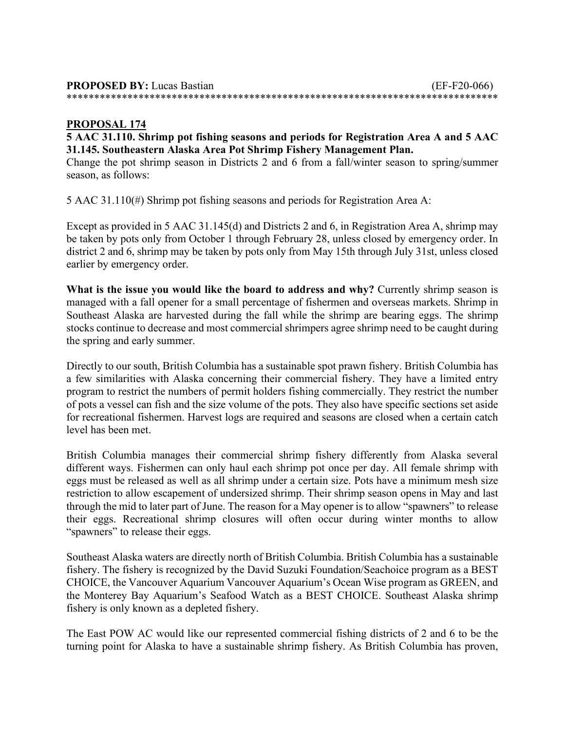| <b>PROPOSED BY:</b> Lucas Bastian | $(EF-F20-066)$ |
|-----------------------------------|----------------|
|                                   |                |

## **PROPOSAL 174**

## **5 AAC 31.110. Shrimp pot fishing seasons and periods for Registration Area A and 5 AAC 31.145. Southeastern Alaska Area Pot Shrimp Fishery Management Plan.**

Change the pot shrimp season in Districts 2 and 6 from a fall/winter season to spring/summer season, as follows:

5 AAC 31.110(#) Shrimp pot fishing seasons and periods for Registration Area A:

Except as provided in 5 AAC 31.145(d) and Districts 2 and 6, in Registration Area A, shrimp may be taken by pots only from October 1 through February 28, unless closed by emergency order. In district 2 and 6, shrimp may be taken by pots only from May 15th through July 31st, unless closed earlier by emergency order.

**What is the issue you would like the board to address and why?** Currently shrimp season is managed with a fall opener for a small percentage of fishermen and overseas markets. Shrimp in Southeast Alaska are harvested during the fall while the shrimp are bearing eggs. The shrimp stocks continue to decrease and most commercial shrimpers agree shrimp need to be caught during the spring and early summer.

Directly to our south, British Columbia has a sustainable spot prawn fishery. British Columbia has a few similarities with Alaska concerning their commercial fishery. They have a limited entry program to restrict the numbers of permit holders fishing commercially. They restrict the number of pots a vessel can fish and the size volume of the pots. They also have specific sections set aside for recreational fishermen. Harvest logs are required and seasons are closed when a certain catch level has been met.

British Columbia manages their commercial shrimp fishery differently from Alaska several different ways. Fishermen can only haul each shrimp pot once per day. All female shrimp with eggs must be released as well as all shrimp under a certain size. Pots have a minimum mesh size restriction to allow escapement of undersized shrimp. Their shrimp season opens in May and last through the mid to later part of June. The reason for a May opener is to allow "spawners" to release their eggs. Recreational shrimp closures will often occur during winter months to allow "spawners" to release their eggs.

Southeast Alaska waters are directly north of British Columbia. British Columbia has a sustainable fishery. The fishery is recognized by the David Suzuki Foundation/Seachoice program as a BEST CHOICE, the Vancouver Aquarium Vancouver Aquarium's Ocean Wise program as GREEN, and the Monterey Bay Aquarium's Seafood Watch as a BEST CHOICE. Southeast Alaska shrimp fishery is only known as a depleted fishery.

The East POW AC would like our represented commercial fishing districts of 2 and 6 to be the turning point for Alaska to have a sustainable shrimp fishery. As British Columbia has proven,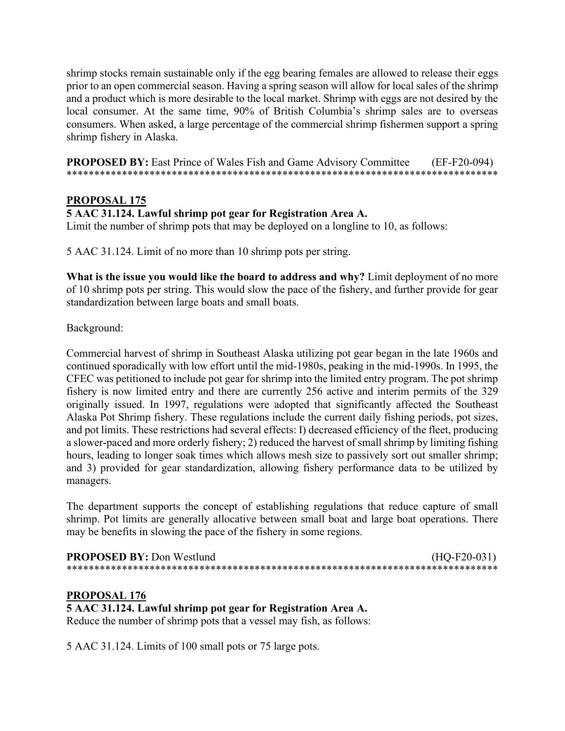shrimp stocks remain sustainable only if the egg bearing females are allowed to release their eggs prior to an open commercial season. Having a spring season will allow for local sales of the shrimp and a product which is more desirable to the local market. Shrimp with eggs are not desired by the local consumer. At the same time, 90% of British Columbia's shrimp sales are to overseas consumers. When asked, a large percentage of the commercial shrimp fishermen support a spring shrimp fishery in Alaska.

**PROPOSED BY:** East Prince of Wales Fish and Game Advisory Committee (EF-F20-094) \*\*\*\*\*\*\*\*\*\*\*\*\*\*\*\*\*\*\*\*\*\*\*\*\*\*\*\*\*\*\*\*\*\*\*\*\*\*\*\*\*\*\*\*\*\*\*\*\*\*\*\*\*\*\*\*\*\*\*\*\*\*\*\*\*\*\*\*\*\*\*\*\*\*\*\*\*\*

## **PROPOSAL 175**

#### **5 AAC 31.124. Lawful shrimp pot gear for Registration Area A.**

Limit the number of shrimp pots that may be deployed on a longline to 10, as follows:

5 AAC 31.124. Limit of no more than 10 shrimp pots per string.

**What is the issue you would like the board to address and why?** Limit deployment of no more of 10 shrimp pots per string. This would slow the pace of the fishery, and further provide for gear standardization between large boats and small boats.

Background:

Commercial harvest of shrimp in Southeast Alaska utilizing pot gear began in the late 1960s and continued sporadically with low effort until the mid-1980s, peaking in the mid-1990s. In 1995, the CFEC was petitioned to include pot gear for shrimp into the limited entry program. The pot shrimp fishery is now limited entry and there are currently 256 active and interim permits of the 329 originally issued. In 1997, regulations were adopted that significantly affected the Southeast Alaska Pot Shrimp fishery. These regulations include the current daily fishing periods, pot sizes, and pot limits. These restrictions had several effects: I) decreased efficiency of the fleet, producing a slower-paced and more orderly fishery; 2) reduced the harvest of small shrimp by limiting fishing hours, leading to longer soak times which allows mesh size to passively sort out smaller shrimp; and 3) provided for gear standardization, allowing fishery performance data to be utilized by managers.

The department supports the concept of establishing regulations that reduce capture of small shrimp. Pot limits are generally allocative between small boat and large boat operations. There may be benefits in slowing the pace of the fishery in some regions.

| <b>PROPOSED BY: Don Westlund</b> | $(HQ-F20-031)$ |
|----------------------------------|----------------|
|                                  |                |

#### **PROPOSAL 176**

# **5 AAC 31.124. Lawful shrimp pot gear for Registration Area A.**

Reduce the number of shrimp pots that a vessel may fish, as follows:

5 AAC 31.124. Limits of 100 small pots or 75 large pots.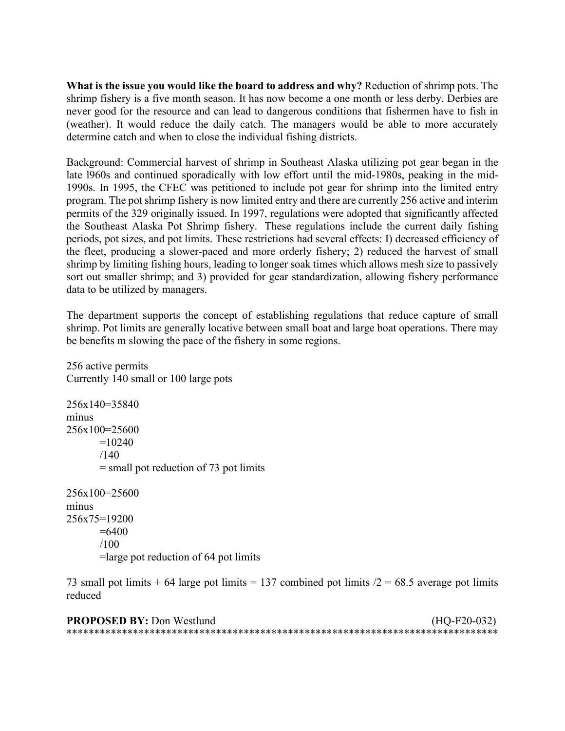**What is the issue you would like the board to address and why?** Reduction of shrimp pots. The shrimp fishery is a five month season. It has now become a one month or less derby. Derbies are never good for the resource and can lead to dangerous conditions that fishermen have to fish in (weather). It would reduce the daily catch. The managers would be able to more accurately determine catch and when to close the individual fishing districts.

Background: Commercial harvest of shrimp in Southeast Alaska utilizing pot gear began in the late l960s and continued sporadically with low effort until the mid-1980s, peaking in the mid-1990s. In 1995, the CFEC was petitioned to include pot gear for shrimp into the limited entry program. The pot shrimp fishery is now limited entry and there are currently 256 active and interim permits of the 329 originally issued. In 1997, regulations were adopted that significantly affected the Southeast Alaska Pot Shrimp fishery. These regulations include the current daily fishing periods, pot sizes, and pot limits. These restrictions had several effects: I) decreased efficiency of the fleet, producing a slower-paced and more orderly fishery; 2) reduced the harvest of small shrimp by limiting fishing hours, leading to longer soak times which allows mesh size to passively sort out smaller shrimp; and 3) provided for gear standardization, allowing fishery performance data to be utilized by managers.

The department supports the concept of establishing regulations that reduce capture of small shrimp. Pot limits are generally locative between small boat and large boat operations. There may be benefits m slowing the pace of the fishery in some regions.

256 active permits Currently 140 small or 100 large pots

256x140=35840 minus 256x100=25600  $=10240$  $/140$ = small pot reduction of 73 pot limits

256x100=25600 minus 256x75=19200  $=6400$ /100 =large pot reduction of 64 pot limits

73 small pot limits  $+ 64$  large pot limits  $= 137$  combined pot limits  $/2 = 68.5$  average pot limits reduced

| <b>PROPOSED BY: Don Westlund</b> | $(HQ-F20-032)$ |
|----------------------------------|----------------|
|                                  |                |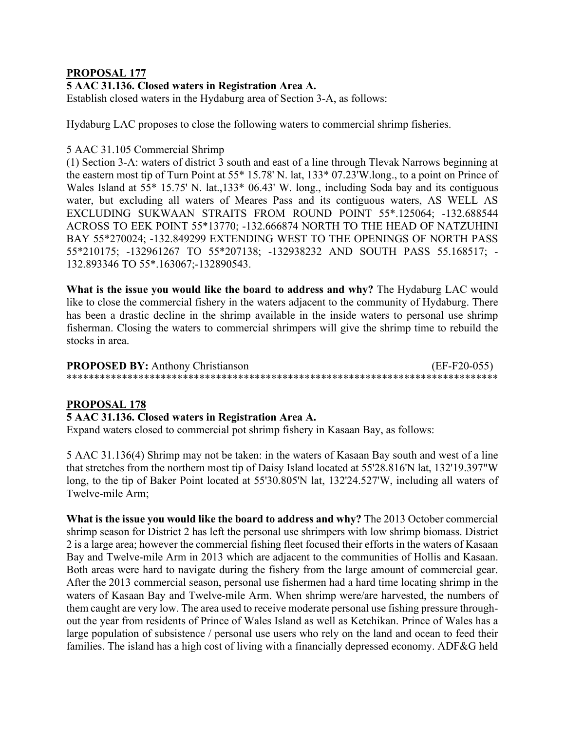## **PROPOSAL 177**

## **5 AAC 31.136. Closed waters in Registration Area A.**

Establish closed waters in the Hydaburg area of Section 3-A, as follows:

Hydaburg LAC proposes to close the following waters to commercial shrimp fisheries.

#### 5 AAC 31.105 Commercial Shrimp

(1) Section 3-A: waters of district 3 south and east of a line through Tlevak Narrows beginning at the eastern most tip of Turn Point at 55\* 15.78' N. lat, 133\* 07.23'W.long., to a point on Prince of Wales Island at 55\* 15.75' N. lat.,133\* 06.43' W. long., including Soda bay and its contiguous water, but excluding all waters of Meares Pass and its contiguous waters, AS WELL AS EXCLUDING SUKWAAN STRAITS FROM ROUND POINT 55\*.125064; -132.688544 ACROSS TO EEK POINT 55\*13770; -132.666874 NORTH TO THE HEAD OF NATZUHINI BAY 55\*270024; -132.849299 EXTENDING WEST TO THE OPENINGS OF NORTH PASS 55\*210175; -132961267 TO 55\*207138; -132938232 AND SOUTH PASS 55.168517; - 132.893346 TO 55\*.163067;-132890543.

**What is the issue you would like the board to address and why?** The Hydaburg LAC would like to close the commercial fishery in the waters adjacent to the community of Hydaburg. There has been a drastic decline in the shrimp available in the inside waters to personal use shrimp fisherman. Closing the waters to commercial shrimpers will give the shrimp time to rebuild the stocks in area.

| <b>PROPOSED BY: Anthony Christianson</b> | $(EF-F20-055)$ |
|------------------------------------------|----------------|
|                                          |                |

#### **PROPOSAL 178**

#### **5 AAC 31.136. Closed waters in Registration Area A.**

Expand waters closed to commercial pot shrimp fishery in Kasaan Bay, as follows:

5 AAC 31.136(4) Shrimp may not be taken: in the waters of Kasaan Bay south and west of a line that stretches from the northern most tip of Daisy Island located at 55'28.816'N lat, 132'19.397"W long, to the tip of Baker Point located at 55'30.805'N lat, 132'24.527'W, including all waters of Twelve-mile Arm;

**What is the issue you would like the board to address and why?** The 2013 October commercial shrimp season for District 2 has left the personal use shrimpers with low shrimp biomass. District 2 is a large area; however the commercial fishing fleet focused their efforts in the waters of Kasaan Bay and Twelve-mile Arm in 2013 which are adjacent to the communities of Hollis and Kasaan. Both areas were hard to navigate during the fishery from the large amount of commercial gear. After the 2013 commercial season, personal use fishermen had a hard time locating shrimp in the waters of Kasaan Bay and Twelve-mile Arm. When shrimp were/are harvested, the numbers of them caught are very low. The area used to receive moderate personal use fishing pressure throughout the year from residents of Prince of Wales Island as well as Ketchikan. Prince of Wales has a large population of subsistence / personal use users who rely on the land and ocean to feed their families. The island has a high cost of living with a financially depressed economy. ADF&G held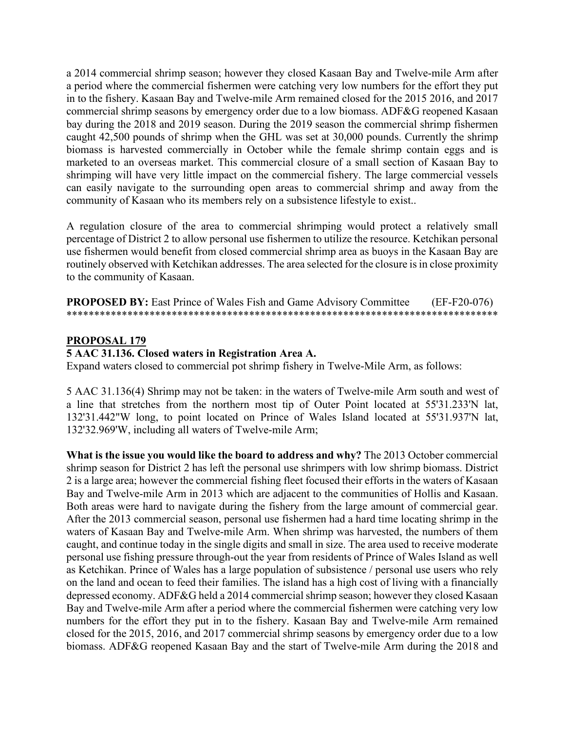a 2014 commercial shrimp season; however they closed Kasaan Bay and Twelve-mile Arm after a period where the commercial fishermen were catching very low numbers for the effort they put in to the fishery. Kasaan Bay and Twelve-mile Arm remained closed for the 2015 2016, and 2017 commercial shrimp seasons by emergency order due to a low biomass. ADF&G reopened Kasaan bay during the 2018 and 2019 season. During the 2019 season the commercial shrimp fishermen caught 42,500 pounds of shrimp when the GHL was set at 30,000 pounds. Currently the shrimp biomass is harvested commercially in October while the female shrimp contain eggs and is marketed to an overseas market. This commercial closure of a small section of Kasaan Bay to shrimping will have very little impact on the commercial fishery. The large commercial vessels can easily navigate to the surrounding open areas to commercial shrimp and away from the community of Kasaan who its members rely on a subsistence lifestyle to exist..

A regulation closure of the area to commercial shrimping would protect a relatively small percentage of District 2 to allow personal use fishermen to utilize the resource. Ketchikan personal use fishermen would benefit from closed commercial shrimp area as buoys in the Kasaan Bay are routinely observed with Ketchikan addresses. The area selected for the closure is in close proximity to the community of Kasaan.

**PROPOSED BY:** East Prince of Wales Fish and Game Advisory Committee (EF-F20-076) \*\*\*\*\*\*\*\*\*\*\*\*\*\*\*\*\*\*\*\*\*\*\*\*\*\*\*\*\*\*\*\*\*\*\*\*\*\*\*\*\*\*\*\*\*\*\*\*\*\*\*\*\*\*\*\*\*\*\*\*\*\*\*\*\*\*\*\*\*\*\*\*\*\*\*\*\*\*

#### **PROPOSAL 179**

#### **5 AAC 31.136. Closed waters in Registration Area A.**

Expand waters closed to commercial pot shrimp fishery in Twelve-Mile Arm, as follows:

5 AAC 31.136(4) Shrimp may not be taken: in the waters of Twelve-mile Arm south and west of a line that stretches from the northern most tip of Outer Point located at 55'31.233'N lat, 132'31.442"W long, to point located on Prince of Wales Island located at 55'31.937'N lat, 132'32.969'W, including all waters of Twelve-mile Arm;

**What is the issue you would like the board to address and why?** The 2013 October commercial shrimp season for District 2 has left the personal use shrimpers with low shrimp biomass. District 2 is a large area; however the commercial fishing fleet focused their efforts in the waters of Kasaan Bay and Twelve-mile Arm in 2013 which are adjacent to the communities of Hollis and Kasaan. Both areas were hard to navigate during the fishery from the large amount of commercial gear. After the 2013 commercial season, personal use fishermen had a hard time locating shrimp in the waters of Kasaan Bay and Twelve-mile Arm. When shrimp was harvested, the numbers of them caught, and continue today in the single digits and small in size. The area used to receive moderate personal use fishing pressure through-out the year from residents of Prince of Wales Island as well as Ketchikan. Prince of Wales has a large population of subsistence / personal use users who rely on the land and ocean to feed their families. The island has a high cost of living with a financially depressed economy. ADF&G held a 2014 commercial shrimp season; however they closed Kasaan Bay and Twelve-mile Arm after a period where the commercial fishermen were catching very low numbers for the effort they put in to the fishery. Kasaan Bay and Twelve-mile Arm remained closed for the 2015, 2016, and 2017 commercial shrimp seasons by emergency order due to a low biomass. ADF&G reopened Kasaan Bay and the start of Twelve-mile Arm during the 2018 and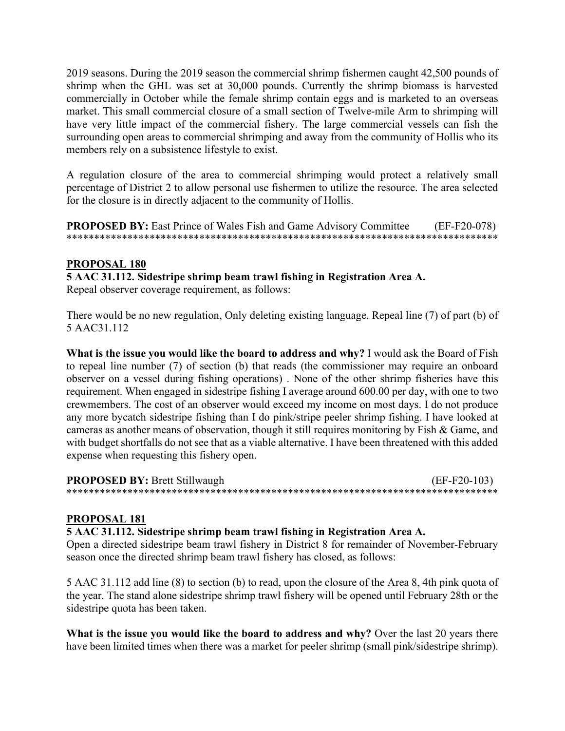2019 seasons. During the 2019 season the commercial shrimp fishermen caught 42,500 pounds of shrimp when the GHL was set at 30,000 pounds. Currently the shrimp biomass is harvested commercially in October while the female shrimp contain eggs and is marketed to an overseas market. This small commercial closure of a small section of Twelve-mile Arm to shrimping will have very little impact of the commercial fishery. The large commercial vessels can fish the surrounding open areas to commercial shrimping and away from the community of Hollis who its members rely on a subsistence lifestyle to exist.

A regulation closure of the area to commercial shrimping would protect a relatively small percentage of District 2 to allow personal use fishermen to utilize the resource. The area selected for the closure is in directly adjacent to the community of Hollis.

**PROPOSED BY:** East Prince of Wales Fish and Game Advisory Committee (EF-F20-078) \*\*\*\*\*\*\*\*\*\*\*\*\*\*\*\*\*\*\*\*\*\*\*\*\*\*\*\*\*\*\*\*\*\*\*\*\*\*\*\*\*\*\*\*\*\*\*\*\*\*\*\*\*\*\*\*\*\*\*\*\*\*\*\*\*\*\*\*\*\*\*\*\*\*\*\*\*\*

## **PROPOSAL 180**

**5 AAC 31.112. Sidestripe shrimp beam trawl fishing in Registration Area A.**

Repeal observer coverage requirement, as follows:

There would be no new regulation, Only deleting existing language. Repeal line (7) of part (b) of 5 AAC31.112

**What is the issue you would like the board to address and why?** I would ask the Board of Fish to repeal line number (7) of section (b) that reads (the commissioner may require an onboard observer on a vessel during fishing operations) . None of the other shrimp fisheries have this requirement. When engaged in sidestripe fishing I average around 600.00 per day, with one to two crewmembers. The cost of an observer would exceed my income on most days. I do not produce any more bycatch sidestripe fishing than I do pink/stripe peeler shrimp fishing. I have looked at cameras as another means of observation, though it still requires monitoring by Fish & Game, and with budget shortfalls do not see that as a viable alternative. I have been threatened with this added expense when requesting this fishery open.

**PROPOSED BY:** Brett Stillwaugh (EF-F20-103) \*\*\*\*\*\*\*\*\*\*\*\*\*\*\*\*\*\*\*\*\*\*\*\*\*\*\*\*\*\*\*\*\*\*\*\*\*\*\*\*\*\*\*\*\*\*\*\*\*\*\*\*\*\*\*\*\*\*\*\*\*\*\*\*\*\*\*\*\*\*\*\*\*\*\*\*\*\*

## **PROPOSAL 181**

#### **5 AAC 31.112. Sidestripe shrimp beam trawl fishing in Registration Area A.**

Open a directed sidestripe beam trawl fishery in District 8 for remainder of November-February season once the directed shrimp beam trawl fishery has closed, as follows:

5 AAC 31.112 add line (8) to section (b) to read, upon the closure of the Area 8, 4th pink quota of the year. The stand alone sidestripe shrimp trawl fishery will be opened until February 28th or the sidestripe quota has been taken.

What is the issue you would like the board to address and why? Over the last 20 years there have been limited times when there was a market for peeler shrimp (small pink/sidestripe shrimp).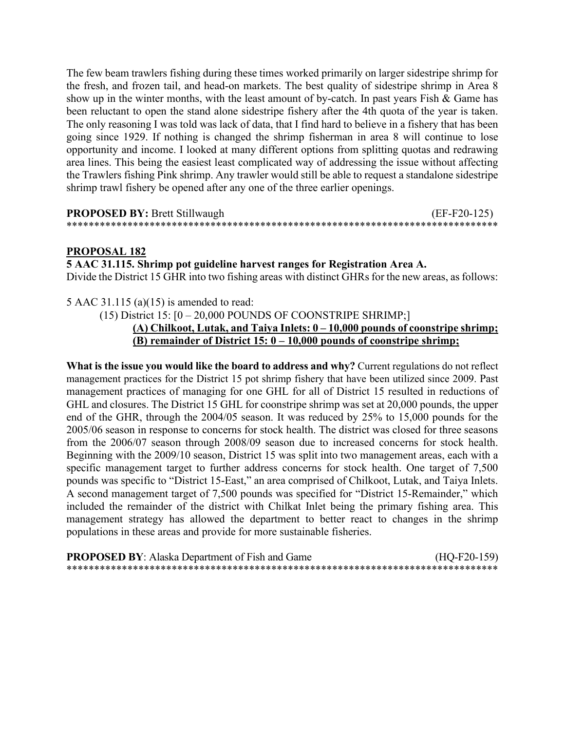The few beam trawlers fishing during these times worked primarily on larger sidestripe shrimp for the fresh, and frozen tail, and head-on markets. The best quality of sidestripe shrimp in Area 8 show up in the winter months, with the least amount of by-catch. In past years Fish & Game has been reluctant to open the stand alone sidestripe fishery after the 4th quota of the year is taken. The only reasoning I was told was lack of data, that I find hard to believe in a fishery that has been going since 1929. If nothing is changed the shrimp fisherman in area 8 will continue to lose opportunity and income. I looked at many different options from splitting quotas and redrawing area lines. This being the easiest least complicated way of addressing the issue without affecting the Trawlers fishing Pink shrimp. Any trawler would still be able to request a standalone sidestripe shrimp trawl fishery be opened after any one of the three earlier openings.

| <b>PROPOSED BY: Brett Stillwaugh</b> | $(EF-F20-125)$ |
|--------------------------------------|----------------|
|                                      |                |

#### **PROPOSAL 182**

#### **5 AAC 31.115. Shrimp pot guideline harvest ranges for Registration Area A.**

Divide the District 15 GHR into two fishing areas with distinct GHRs for the new areas, as follows:

5 AAC 31.115 (a)(15) is amended to read:

(15) District  $15: [0 - 20,000 \text{ POUNDS OF COONSTRIPE SHRIMP}]$ 

## **(A) Chilkoot, Lutak, and Taiya Inlets: 0 – 10,000 pounds of coonstripe shrimp; (B) remainder of District 15: 0 – 10,000 pounds of coonstripe shrimp;**

**What is the issue you would like the board to address and why?** Current regulations do not reflect management practices for the District 15 pot shrimp fishery that have been utilized since 2009. Past management practices of managing for one GHL for all of District 15 resulted in reductions of GHL and closures. The District 15 GHL for coonstripe shrimp was set at 20,000 pounds, the upper end of the GHR, through the 2004/05 season. It was reduced by 25% to 15,000 pounds for the 2005/06 season in response to concerns for stock health. The district was closed for three seasons from the 2006/07 season through 2008/09 season due to increased concerns for stock health. Beginning with the 2009/10 season, District 15 was split into two management areas, each with a specific management target to further address concerns for stock health. One target of 7,500 pounds was specific to "District 15-East," an area comprised of Chilkoot, Lutak, and Taiya Inlets. A second management target of 7,500 pounds was specified for "District 15-Remainder," which included the remainder of the district with Chilkat Inlet being the primary fishing area. This management strategy has allowed the department to better react to changes in the shrimp populations in these areas and provide for more sustainable fisheries.

| <b>PROPOSED BY:</b> Alaska Department of Fish and Game | $(HQ-F20-159)$ |
|--------------------------------------------------------|----------------|
|                                                        |                |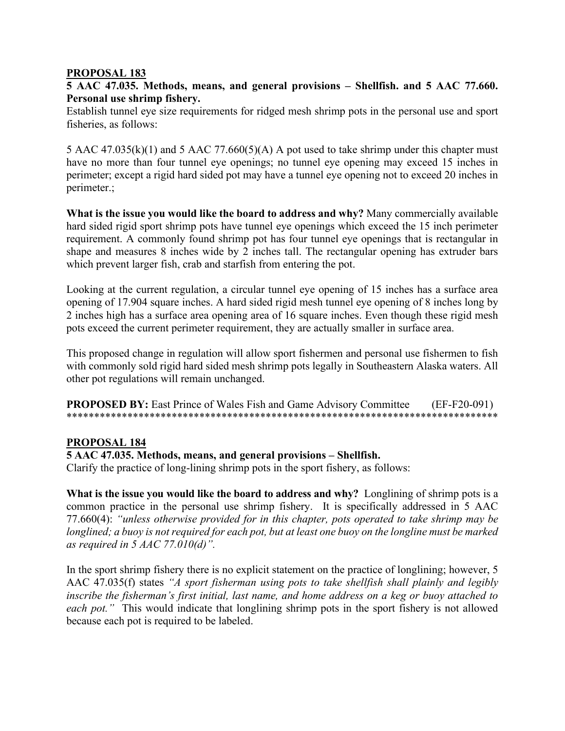#### **PROPOSAL 183**

## **5 AAC 47.035. Methods, means, and general provisions – Shellfish. and 5 AAC 77.660. Personal use shrimp fishery.**

Establish tunnel eye size requirements for ridged mesh shrimp pots in the personal use and sport fisheries, as follows:

5 AAC 47.035(k)(1) and 5 AAC 77.660(5)(A) A pot used to take shrimp under this chapter must have no more than four tunnel eye openings; no tunnel eye opening may exceed 15 inches in perimeter; except a rigid hard sided pot may have a tunnel eye opening not to exceed 20 inches in perimeter.;

**What is the issue you would like the board to address and why?** Many commercially available hard sided rigid sport shrimp pots have tunnel eye openings which exceed the 15 inch perimeter requirement. A commonly found shrimp pot has four tunnel eye openings that is rectangular in shape and measures 8 inches wide by 2 inches tall. The rectangular opening has extruder bars which prevent larger fish, crab and starfish from entering the pot.

Looking at the current regulation, a circular tunnel eye opening of 15 inches has a surface area opening of 17.904 square inches. A hard sided rigid mesh tunnel eye opening of 8 inches long by 2 inches high has a surface area opening area of 16 square inches. Even though these rigid mesh pots exceed the current perimeter requirement, they are actually smaller in surface area.

This proposed change in regulation will allow sport fishermen and personal use fishermen to fish with commonly sold rigid hard sided mesh shrimp pots legally in Southeastern Alaska waters. All other pot regulations will remain unchanged.

**PROPOSED BY:** East Prince of Wales Fish and Game Advisory Committee (EF-F20-091) \*\*\*\*\*\*\*\*\*\*\*\*\*\*\*\*\*\*\*\*\*\*\*\*\*\*\*\*\*\*\*\*\*\*\*\*\*\*\*\*\*\*\*\*\*\*\*\*\*\*\*\*\*\*\*\*\*\*\*\*\*\*\*\*\*\*\*\*\*\*\*\*\*\*\*\*\*\*

## **PROPOSAL 184**

#### **5 AAC 47.035. Methods, means, and general provisions – Shellfish.**

Clarify the practice of long-lining shrimp pots in the sport fishery, as follows:

**What is the issue you would like the board to address and why?** Longlining of shrimp pots is a common practice in the personal use shrimp fishery. It is specifically addressed in 5 AAC 77.660(4): *"unless otherwise provided for in this chapter, pots operated to take shrimp may be longlined; a buoy is not required for each pot, but at least one buoy on the longline must be marked as required in 5 AAC 77.010(d)".*

In the sport shrimp fishery there is no explicit statement on the practice of longlining; however, 5 AAC 47.035(f) states *"A sport fisherman using pots to take shellfish shall plainly and legibly inscribe the fisherman's first initial, last name, and home address on a keg or buoy attached to*  each pot." This would indicate that longlining shrimp pots in the sport fishery is not allowed because each pot is required to be labeled.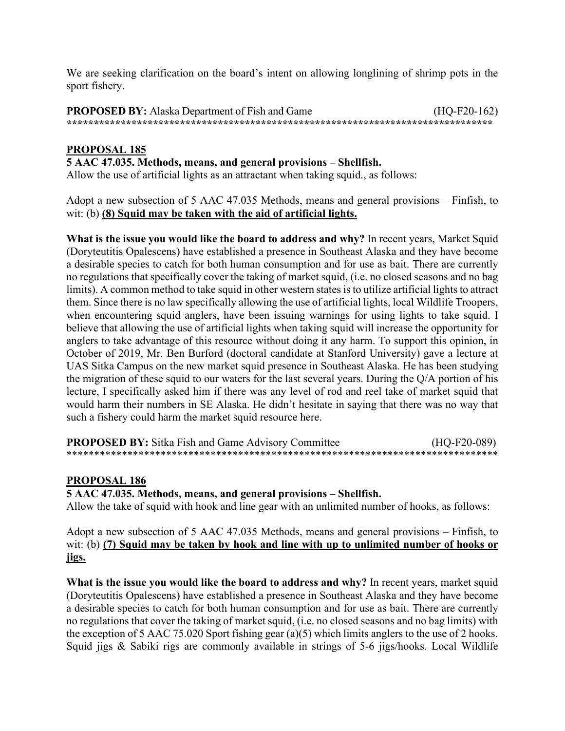We are seeking clarification on the board's intent on allowing longlining of shrimp pots in the sport fishery.

**PROPOSED BY:** Alaska Department of Fish and Game (HQ-F20-162) **\*\*\*\*\*\*\*\*\*\*\*\*\*\*\*\*\*\*\*\*\*\*\*\*\*\*\*\*\*\*\*\*\*\*\*\*\*\*\*\*\*\*\*\*\*\*\*\*\*\*\*\*\*\*\*\*\*\*\*\*\*\*\*\*\*\*\*\*\*\*\*\*\*\*\*\*\*\*\***

## **PROPOSAL 185**

### **5 AAC 47.035. Methods, means, and general provisions – Shellfish.**

Allow the use of artificial lights as an attractant when taking squid., as follows:

Adopt a new subsection of 5 AAC 47.035 Methods, means and general provisions – Finfish, to wit: (b) **(8) Squid may be taken with the aid of artificial lights.**

**What is the issue you would like the board to address and why?** In recent years, Market Squid (Doryteutitis Opalescens) have established a presence in Southeast Alaska and they have become a desirable species to catch for both human consumption and for use as bait. There are currently no regulations that specifically cover the taking of market squid, (i.e. no closed seasons and no bag limits). A common method to take squid in other western states is to utilize artificial lights to attract them. Since there is no law specifically allowing the use of artificial lights, local Wildlife Troopers, when encountering squid anglers, have been issuing warnings for using lights to take squid. I believe that allowing the use of artificial lights when taking squid will increase the opportunity for anglers to take advantage of this resource without doing it any harm. To support this opinion, in October of 2019, Mr. Ben Burford (doctoral candidate at Stanford University) gave a lecture at UAS Sitka Campus on the new market squid presence in Southeast Alaska. He has been studying the migration of these squid to our waters for the last several years. During the Q/A portion of his lecture, I specifically asked him if there was any level of rod and reel take of market squid that would harm their numbers in SE Alaska. He didn't hesitate in saying that there was no way that such a fishery could harm the market squid resource here.

**PROPOSED BY:** Sitka Fish and Game Advisory Committee (HO-F20-089) \*\*\*\*\*\*\*\*\*\*\*\*\*\*\*\*\*\*\*\*\*\*\*\*\*\*\*\*\*\*\*\*\*\*\*\*\*\*\*\*\*\*\*\*\*\*\*\*\*\*\*\*\*\*\*\*\*\*\*\*\*\*\*\*\*\*\*\*\*\*\*\*\*\*\*\*\*\*

#### **PROPOSAL 186**

#### **5 AAC 47.035. Methods, means, and general provisions – Shellfish.**

Allow the take of squid with hook and line gear with an unlimited number of hooks, as follows:

Adopt a new subsection of 5 AAC 47.035 Methods, means and general provisions – Finfish, to wit: (b) **(7) Squid may be taken by hook and line with up to unlimited number of hooks or jigs.**

**What is the issue you would like the board to address and why?** In recent years, market squid (Doryteutitis Opalescens) have established a presence in Southeast Alaska and they have become a desirable species to catch for both human consumption and for use as bait. There are currently no regulations that cover the taking of market squid, (i.e. no closed seasons and no bag limits) with the exception of 5 AAC 75.020 Sport fishing gear (a)(5) which limits anglers to the use of 2 hooks. Squid jigs & Sabiki rigs are commonly available in strings of 5-6 jigs/hooks. Local Wildlife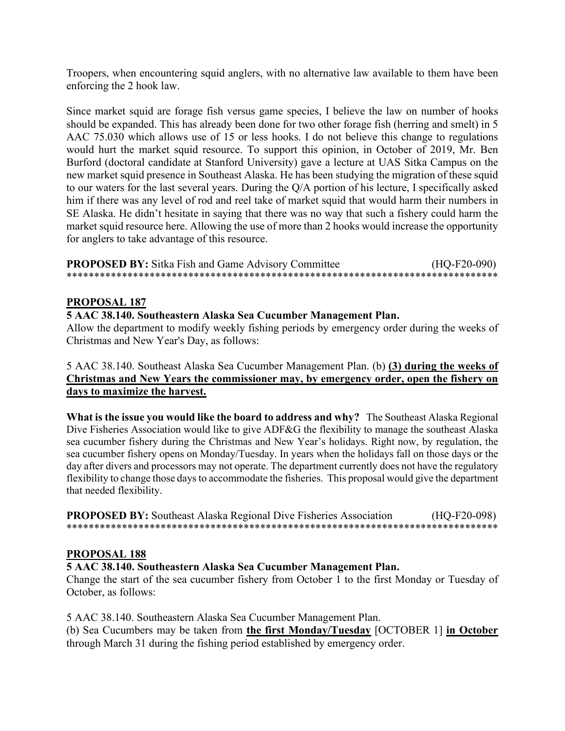Troopers, when encountering squid anglers, with no alternative law available to them have been enforcing the 2 hook law.

Since market squid are forage fish versus game species, I believe the law on number of hooks should be expanded. This has already been done for two other forage fish (herring and smelt) in 5 AAC 75.030 which allows use of 15 or less hooks. I do not believe this change to regulations would hurt the market squid resource. To support this opinion, in October of 2019, Mr. Ben Burford (doctoral candidate at Stanford University) gave a lecture at UAS Sitka Campus on the new market squid presence in Southeast Alaska. He has been studying the migration of these squid to our waters for the last several years. During the Q/A portion of his lecture, I specifically asked him if there was any level of rod and reel take of market squid that would harm their numbers in SE Alaska. He didn't hesitate in saying that there was no way that such a fishery could harm the market squid resource here. Allowing the use of more than 2 hooks would increase the opportunity for anglers to take advantage of this resource.

| <b>PROPOSED BY:</b> Sitka Fish and Game Advisory Committee | $(HQ-F20-090)$ |
|------------------------------------------------------------|----------------|
|                                                            |                |

#### **PROPOSAL 187**

#### **5 AAC 38.140. Southeastern Alaska Sea Cucumber Management Plan.**

Allow the department to modify weekly fishing periods by emergency order during the weeks of Christmas and New Year's Day, as follows:

5 AAC 38.140. Southeast Alaska Sea Cucumber Management Plan. (b) **(3) during the weeks of Christmas and New Years the commissioner may, by emergency order, open the fishery on days to maximize the harvest.**

**What is the issue you would like the board to address and why?** The Southeast Alaska Regional Dive Fisheries Association would like to give ADF&G the flexibility to manage the southeast Alaska sea cucumber fishery during the Christmas and New Year's holidays. Right now, by regulation, the sea cucumber fishery opens on Monday/Tuesday. In years when the holidays fall on those days or the day after divers and processors may not operate. The department currently does not have the regulatory flexibility to change those days to accommodate the fisheries. This proposal would give the department that needed flexibility.

**PROPOSED BY:** Southeast Alaska Regional Dive Fisheries Association (HQ-F20-098) \*\*\*\*\*\*\*\*\*\*\*\*\*\*\*\*\*\*\*\*\*\*\*\*\*\*\*\*\*\*\*\*\*\*\*\*\*\*\*\*\*\*\*\*\*\*\*\*\*\*\*\*\*\*\*\*\*\*\*\*\*\*\*\*\*\*\*\*\*\*\*\*\*\*\*\*\*\*

#### **PROPOSAL 188**

**5 AAC 38.140. Southeastern Alaska Sea Cucumber Management Plan.**

Change the start of the sea cucumber fishery from October 1 to the first Monday or Tuesday of October, as follows:

5 AAC 38.140. Southeastern Alaska Sea Cucumber Management Plan.

(b) Sea Cucumbers may be taken from **the first Monday/Tuesday** [OCTOBER 1] **in October** through March 31 during the fishing period established by emergency order.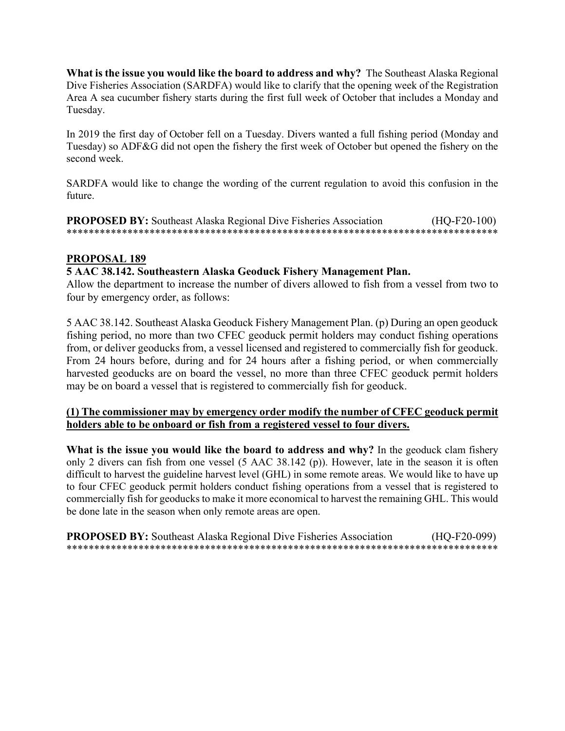**What is the issue you would like the board to address and why?** The Southeast Alaska Regional Dive Fisheries Association (SARDFA) would like to clarify that the opening week of the Registration Area A sea cucumber fishery starts during the first full week of October that includes a Monday and Tuesday.

In 2019 the first day of October fell on a Tuesday. Divers wanted a full fishing period (Monday and Tuesday) so ADF&G did not open the fishery the first week of October but opened the fishery on the second week.

SARDFA would like to change the wording of the current regulation to avoid this confusion in the future.

**PROPOSED BY:** Southeast Alaska Regional Dive Fisheries Association (HQ-F20-100) \*\*\*\*\*\*\*\*\*\*\*\*\*\*\*\*\*\*\*\*\*\*\*\*\*\*\*\*\*\*\*\*\*\*\*\*\*\*\*\*\*\*\*\*\*\*\*\*\*\*\*\*\*\*\*\*\*\*\*\*\*\*\*\*\*\*\*\*\*\*\*\*\*\*\*\*\*\*

#### **PROPOSAL 189**

#### **5 AAC 38.142. Southeastern Alaska Geoduck Fishery Management Plan.**

Allow the department to increase the number of divers allowed to fish from a vessel from two to four by emergency order, as follows:

5 AAC 38.142. Southeast Alaska Geoduck Fishery Management Plan. (p) During an open geoduck fishing period, no more than two CFEC geoduck permit holders may conduct fishing operations from, or deliver geoducks from, a vessel licensed and registered to commercially fish for geoduck. From 24 hours before, during and for 24 hours after a fishing period, or when commercially harvested geoducks are on board the vessel, no more than three CFEC geoduck permit holders may be on board a vessel that is registered to commercially fish for geoduck.

#### **(1) The commissioner may by emergency order modify the number of CFEC geoduck permit holders able to be onboard or fish from a registered vessel to four divers.**

**What is the issue you would like the board to address and why?** In the geoduck clam fishery only 2 divers can fish from one vessel (5 AAC 38.142 (p)). However, late in the season it is often difficult to harvest the guideline harvest level (GHL) in some remote areas. We would like to have up to four CFEC geoduck permit holders conduct fishing operations from a vessel that is registered to commercially fish for geoducks to make it more economical to harvest the remaining GHL. This would be done late in the season when only remote areas are open.

**PROPOSED BY:** Southeast Alaska Regional Dive Fisheries Association (HQ-F20-099) \*\*\*\*\*\*\*\*\*\*\*\*\*\*\*\*\*\*\*\*\*\*\*\*\*\*\*\*\*\*\*\*\*\*\*\*\*\*\*\*\*\*\*\*\*\*\*\*\*\*\*\*\*\*\*\*\*\*\*\*\*\*\*\*\*\*\*\*\*\*\*\*\*\*\*\*\*\*